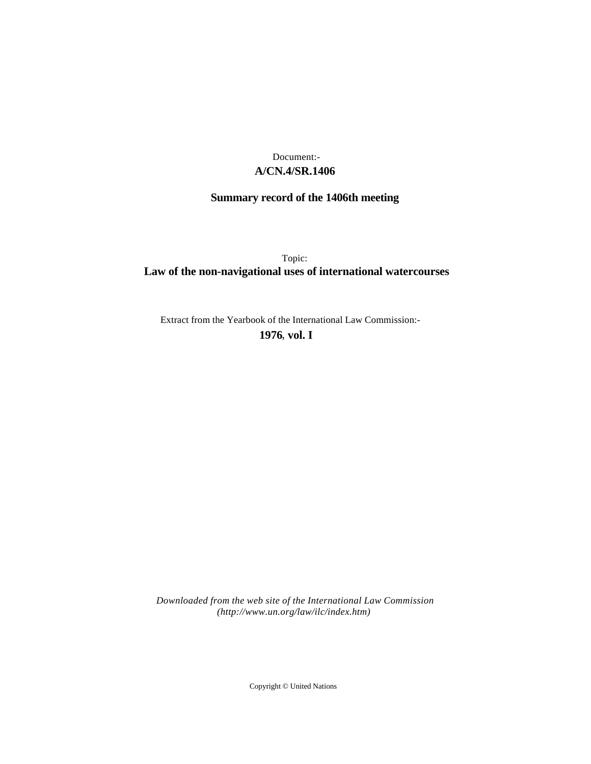## **A/CN.4/SR.1406** Document:-

# **Summary record of the 1406th meeting**

Topic: **Law of the non-navigational uses of international watercourses**

Extract from the Yearbook of the International Law Commission:-

**1976** , **vol. I**

*Downloaded from the web site of the International Law Commission (http://www.un.org/law/ilc/index.htm)*

Copyright © United Nations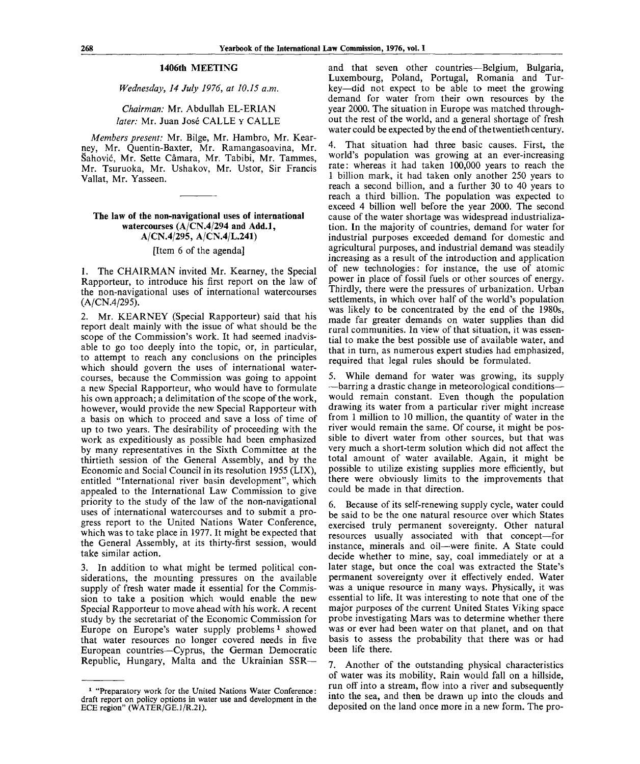#### **1406th MEETING**

*Wednesday, 14 July 1976, at 10.15 a.m.*

## *Chairman:* Mr. Abdullah EL-ERIAN later: Mr. Juan José CALLE y CALLE

*Members present:* Mr. Bilge, Mr. Hambro, Mr. Kearney, Mr. Quentin-Baxter, Mr. Ramangasoavina, Mr. Sahovic, Mr. Sette Camara, Mr. Tabibi, Mr. Tammes, Mr. Tsuruoka, Mr. Ushakov, Mr. Ustor, Sir Francis Vallat, Mr. Yasseen.

**The law of the non-navigational uses of international watercourses (A/CN.4/294 and Add.l, A/CN.4/295, A/CN.4/L.241)**

[Item 6 of the agenda]

1. The CHAIRMAN invited Mr. Kearney, the Special Rapporteur, to introduce his first report on the law of the non-navigational uses of international watercourses (A/CN.4/295).

2. Mr. KEARNEY (Special Rapporteur) said that his report dealt mainly with the issue of what should be the scope of the Commission's work. It had seemed inadvisable to go too deeply into the topic, or, in particular, to attempt to reach any conclusions on the principles which should govern the uses of international watercourses, because the Commission was going to appoint a new Special Rapporteur, who would have to formulate his own approach; a delimitation of the scope of the work, however, would provide the new Special Rapporteur with a basis on which to proceed and save a loss of time of up to two years. The desirability of proceeding with the work as expeditiously as possible had been emphasized by many representatives in the Sixth Committee at the thirtieth session of the General Assembly, and by the Economic and Social Council in its resolution 1955 (LIX), entitled "International river basin development", which appealed to the International Law Commission to give priority to the study of the law of the non-navigational uses of international watercourses and to submit a progress report to the United Nations Water Conference, which was to take place in 1977. It might be expected that the General Assembly, at its thirty-first session, would take similar action.

3. In addition to what might be termed political considerations, the mounting pressures on the available supply of fresh water made it essential for the Commission to take a position which would enable the new Special Rapporteur to move ahead with his work. A recent study by the secretariat of the Economic Commission for Europe on Europe's water supply problems<sup>1</sup> showed that water resources no longer covered needs in five European countries—Cyprus, the German Democratic Republic, Hungary, Malta and the Ukrainian SSR—

and that seven other countries—Belgium, Bulgaria, Luxembourg, Poland, Portugal, Romania and Turkey—did not expect to be able to meet the growing demand for water from their own resources by the year 2000. The situation in Europe was matched throughout the rest of the world, and a general shortage of fresh water could be expected by the end of the twentieth century.

4. That situation had three basic causes. First, the world's population was growing at an ever-increasing rate: whereas it had taken 100,000 years to reach the 1 billion mark, it had taken only another 250 years to reach a second billion, and a further 30 to 40 years to reach a third billion. The population was expected to exceed 4 billion well before the year 2000. The second cause of the water shortage was widespread industrialization. In the majority of countries, demand for water for industrial purposes exceeded demand for domestic and agricultural purposes, and industrial demand was steadily increasing as a result of the introduction and application of new technologies: for instance, the use of atomic power in place of fossil fuels or other sources of energy. Thirdly, there were the pressures of urbanization. Urban settlements, in which over half of the world's population was likely to be concentrated by the end of the 1980s, made far greater demands on water supplies than did rural communities. In view of that situation, it was essential to make the best possible use of available water, and that in turn, as numerous expert studies had emphasized, required that legal rules should be formulated.

5. While demand for water was growing, its supply —barring a drastic change in meteorological conditions would remain constant. Even though the population drawing its water from a particular river might increase from 1 million to 10 million, the quantity of water in the river would remain the same. Of course, it might be possible to divert water from other sources, but that was very much a short-term solution which did not affect the total amount of water available. Again, it might be possible to utilize existing supplies more efficiently, but there were obviously limits to the improvements that could be made in that direction.

6. Because of its self-renewing supply cycle, water could be said to be the one natural resource over which States exercised truly permanent sovereignty. Other natural resources usually associated with that concept—for instance, minerals and oil—were finite. A State could decide whether to mine, say, coal immediately or at a later stage, but once the coal was extracted the State's permanent sovereignty over it effectively ended. Water was a unique resource in many ways. Physically, it was essential to life. It was interesting to note that one of the major purposes of the current United States Viking space probe investigating Mars was to determine whether there was or ever had been water on that planet, and on that basis to assess the probability that there was or had been life there.

7. Another of the outstanding physical characteristics of water was its mobility. Rain would fall on a hillside, run off into a stream, flow into a river and subsequently into the sea, and then be drawn up into the clouds and deposited on the land once more in a new form. The pro-

<sup>&</sup>lt;sup>1</sup> "Preparatory work for the United Nations Water Conference: draft report on policy options in water use and development in the ECE region" (WATER/GE.1/R.21).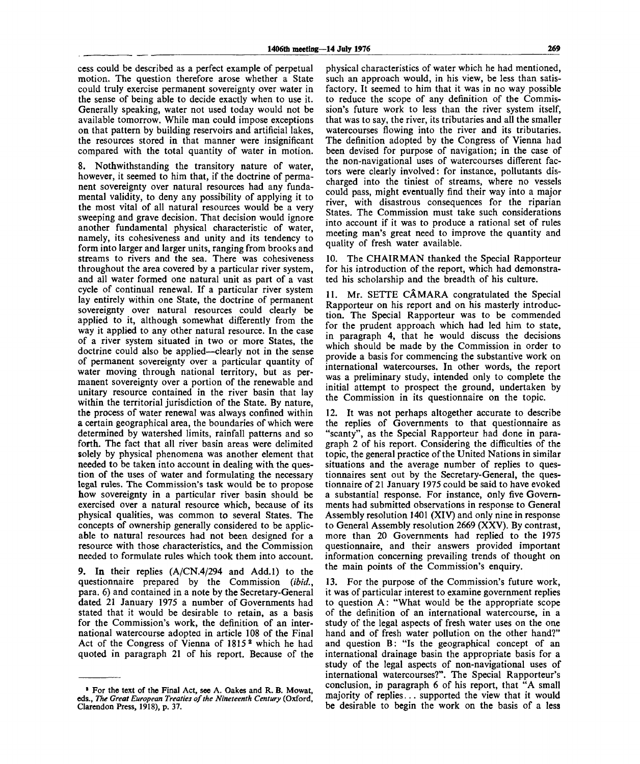cess could be described as a perfect example of perpetual motion. The question therefore arose whether a State could truly exercise permanent sovereignty over water in the sense of being able to decide exactly when to use it. Generally speaking, water not used today would not be available tomorrow. While man could impose exceptions on that pattern by building reservoirs and artificial lakes, the resources stored in that manner were insignificant compared with the total quantity of water in motion.

8. Nothwithstanding the transitory nature of water, however, it seemed to him that, if the doctrine of permanent sovereignty over natural resources had any fundamental validity, to deny any possibility of applying it to the most vital of all natural resources would be a very sweeping and grave decision. That decision would ignore another fundamental physical characteristic of water, namely, its cohesiveness and unity and its tendency to form into larger and larger units, ranging from brooks and streams to rivers and the sea. There was cohesiveness throughout the area covered by a particular river system, and all water formed one natural unit as part of a vast cycle of continual renewal. If a particular river system lay entirely within one State, the doctrine of permanent sovereignty over natural resources could clearly be applied to it, although somewhat differently from the way it applied to any other natural resource. In the case of a river system situated in two or more States, the doctrine could also be applied—clearly not in the sense of permanent sovereignty over a particular quantity of water moving through national territory, but as permanent sovereignty over a portion of the renewable and unitary resource contained in the river basin that lay within the territorial jurisdiction of the State. By nature, the process of water renewal was always confined within a certain geographical area, the boundaries of which were determined by watershed limits, rainfall patterns and so forth. The fact that all river basin areas were delimited solely by physical phenomena was another element that needed to be taken into account in dealing with the question of the uses of water and formulating the necessary legal rules. The Commission's task would be to propose how sovereignty in a particular river basin should be exercised over a natural resource which, because of its physical qualities, was common to several States. The concepts of ownership generally considered to be applicable to natural resources had not been designed for a resource with those characteristics, and the Commission needed to formulate rules which took them into account.

9. In their replies (A/CN.4/294 and Add.l) to the questionnaire prepared by the Commission *(ibid.,* para. 6) and contained in a note by the Secretary-General dated 21 January 1975 a number of Governments had stated that it would be desirable to retain, as a basis for the Commission's work, the definition of an international watercourse adopted in article 108 of the Final Act of the Congress of Vienna of 1815<sup>2</sup> which he had quoted in paragraph 21 of his report. Because of the physical characteristics of water which he had mentioned, such an approach would, in his view, be less than satisfactory. It seemed to him that it was in no way possible to reduce the scope of any definition of the Commission's future work to less than the river system itself, that was to say, the river, its tributaries and all the smaller watercourses flowing into the river and its tributaries. The definition adopted by the Congress of Vienna had been devised for purpose of navigation; in the case of the non-navigational uses of watercourses different factors were clearly involved: for instance, pollutants discharged into the tiniest of streams, where no vessels could pass, might eventually find their way into a major river, with disastrous consequences for the riparian States. The Commission must take such considerations into account if it was to produce a rational set of rules meeting man's great need to improve the quantity and quality of fresh water available.

10. The CHAIRMAN thanked the Special Rapporteur for his introduction of the report, which had demonstrated his scholarship and the breadth of his culture.

11. Mr. SETTE CAMARA congratulated the Special Rapporteur on his report and on his masterly introduction. The Special Rapporteur was to be commended for the prudent approach which had led him to state, in paragraph 4, that he would discuss the decisions which should be made by the Commission in order to provide a basis for commencing the substantive work on international watercourses. In other words, the report was a preliminary study, intended only to complete the initial attempt to prospect the ground, undertaken by the Commission in its questionnaire on the topic.

12. It was not perhaps altogether accurate to describe the replies of Governments to that questionnaire as "scanty", as the Special Rapporteur had done in paragraph 2 of his report. Considering the difficulties of the topic, the general practice of the United Nations in similar situations and the average number of replies to questionnaires sent out by the Secretary-General, the questionnaire of 21 January 1975 could be said to have evoked a substantial response. For instance, only five Governments had submitted observations in response to General Assembly resolution 1401 (XIV) and only nine in response to General Assembly resolution 2669 (XXV). By contrast, more than 20 Governments had replied to the 1975 questionnaire, and their answers provided important information concerning prevailing trends of thought on the main points of the Commission's enquiry.

13. For the purpose of the Commission's future work, it was of particular interest to examine government replies to question A: "What would be the appropriate scope of the definition of an international watercourse, in a study of the legal aspects of fresh water uses on the one hand and of fresh water pollution on the other hand?" and question B: "Is the geographical concept of an international drainage basin the appropriate basis for a study of the legal aspects of non-navigational uses of international watercourses?". The Special Rapporteur's conclusion, in paragraph 6 of his report, that "A small majority of replies... supported the view that it would be desirable to begin the work on the basis of a less

<sup>&</sup>lt;sup>2</sup> For the text of the Final Act, see A. Oakes and R. B. Mowat, **eds.,** *The Great European Treaties of the Nineteenth Century* (Oxford, Clarendon Press, 1918), p. 37.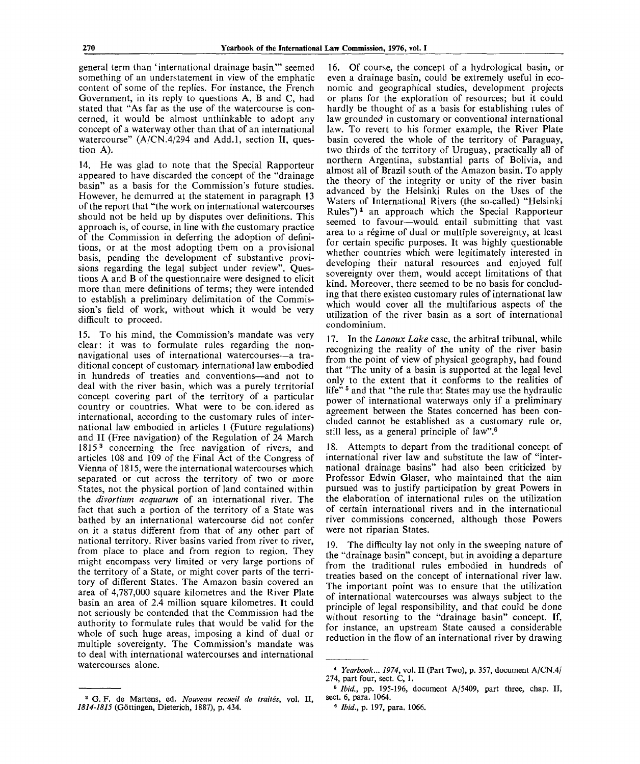general term than 'international drainage basin'" seemed something of an understatement in view of the emphatic content of some of the replies. For instance, the French Government, in its reply to questions A, B and C, had stated that "As far as the use of the watercourse is concerned, it would be almost unthinkable to adopt any concept of a waterway other than that of an international watercourse" (A/CN.4/294 and Add.l, section II, question A).

14. He was glad to note that the Special Rapporteur appeared to have discarded the concept of the "drainage basin" as a basis for the Commission's future studies. However, he demurred at the statement in paragraph 13 of the report that "the work on international watercourses should not be held up by disputes over definitions. This approach is, of course, in line with the customary practice of the Commission in deferring the adoption of definitions, or at the most adopting them on a provisional basis, pending the development of substantive provisions regarding the legal subject under review". Questions A and B of the questionnaire were designed to elicit more than mere definitions of terms; they were intended to establish a preliminary delimitation of the Commission's field of work, without which it would be very difficult to proceed.

15. To his mind, the Commission's mandate was very clear: it was to formulate rules regarding the nonnavigational uses of international watercourses—a traditional concept of customary international law embodied in hundreds of treaties and conventions—and not to deal with the river basin, which was a purely territorial concept covering part of the territory of a particular country or countries. What were to be considered as international, according to the customary rules of international law embodied in articles I (Future regulations) and II (Free navigation) of the Regulation of 24 March 1815<sup>3</sup> concerning the free navigation of rivers, and articles 108 and 109 of the Final Act of the Congress of Vienna of 1815, were the international watercourses which separated or cut across the territory of two or more States, not the physical portion of land contained within the *divortium acquarum* of an international river. The fact that such a portion of the territory of a State was bathed by an international watercourse did not confer on it a status different from that of any other part of national territory. River basins varied from river to river, from place to place and from region to region. They might encompass very limited or very large portions of the territory of a State, or might cover parts of the territory of different States. The Amazon basin covered an area of 4,787,000 square kilometres and the River Plate basin an area of 2.4 million square kilometres. It could not seriously be contended that the Commission had the authority to formulate rules that would be valid for the whole of such huge areas, imposing a kind of dual or multiple sovereignty. The Commission's mandate was to deal with international watercourses and international watercourses alone.

16. Of course, the concept of a hydrological basin, or even a drainage basin, could be extremely useful in economic and geographical studies, development projects or plans for the exploration of resources; but it could hardly be thought of as a basis for establishing rules of law grounded in customary or conventional international law. To revert to his former example, the River Plate basin covered the whole of the territory of Paraguay, two thirds of the territory of Uruguay, practically all of northern Argentina, substantial parts of Bolivia, and almost all of Brazil south of the Amazon basin. To apply the theory of the integrity or unity of the river basin advanced by the Helsinki Rules on the Uses of the Waters of International Rivers (the so-called) "Helsinki Rules")<sup>4</sup> an approach which the Special Rapporteur seemed to favour—would entail submitting that vast area to a regime of dual or multiple sovereignty, at least for certain specific purposes. It was highly questionable whether countries which were legitimately interested in developing their natural resources and enjoyed full sovereignty over them, would accept limitations of that kind. Moreover, there seemed to be no basis for concluding that there existea customary rules of international law which would cover all the multifarious aspects of the utilization of the river basin as a sort of international condominium.

17. In the *Lanoux Lake* case, the arbitral tribunal, while recognizing the reality of the unity of the river basin from the point of view of physical geography, had found that "The unity of a basin is supported at the legal level only to the extent that it conforms to the realities of life"<sup>5</sup> and that "the rule that States may use the hydraulic power of international waterways only if a preliminary agreement between the States concerned has been concluded cannot be established as a customary rule or, still less, as a general principle of law".<sup>6</sup>

18. Attempts to depart from the traditional concept of international river law and substitute the law of "international drainage basins" had also been criticized by Professor Edwin Glaser, who maintained that the aim pursued was to justify participation by great Powers in the elaboration of international rules on the utilization of certain international rivers and in the international river commissions concerned, although those Powers were not riparian States.

19. The difficulty lay not only in the sweeping nature of the "drainage basin" concept, but in avoiding a departure from the traditional rules embodied in hundreds of treaties based on the concept of international river law. The important point was to ensure that the utilization of international watercourses was always subject to the principle of legal responsibility, and that could be done without resorting to the "drainage basin" concept. If, for instance, an upstream State caused a considerable reduction in the flow of an international river by drawing

<sup>4</sup>  *Yearbook... 1974,* vol. II (Part Two), p. 357, document A/CN.4/ 274, part four, sect.  $\dot{C}$ , 1.

<sup>&</sup>lt;sup>5</sup> Ibid., pp. 195-196, document A/5409, part three, chap. II, sect. 6, para. 1064.

<sup>6</sup>  *Ibid.,* p. 197, para. 1066.

<sup>3</sup> G. F. de Martens, ed. *Nouveau recueil de traites,* vol. II, 1814-1815 (Göttingen, Dieterich, 1887), p. 434.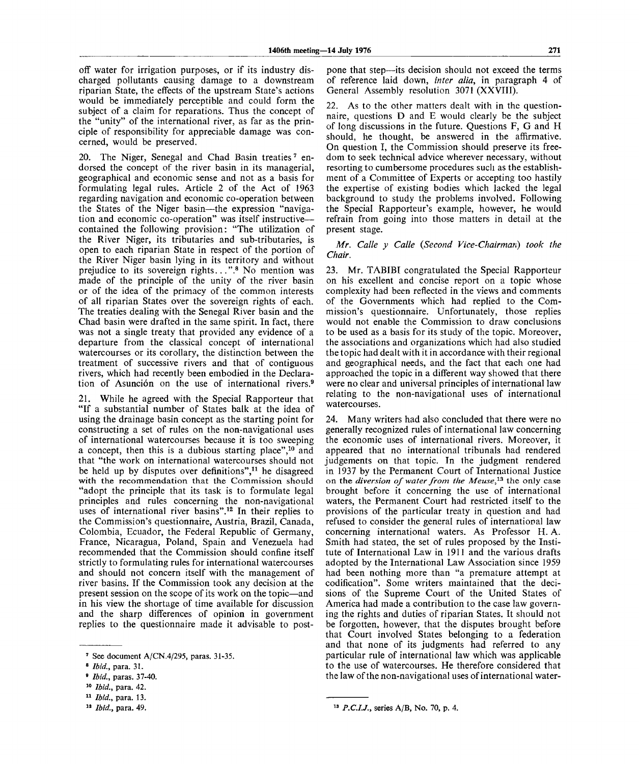off water for irrigation purposes, or if its industry discharged pollutants causing damage to a downstream riparian State, the effects of the upstream State's actions would be immediately perceptible and could form the subject of a claim for reparations. Thus the concept of the "unity" of the international river, as far as the principle of responsibility for appreciable damage was concerned, would be preserved.

20. The Niger, Senegal and Chad Basin treaties<sup>7</sup> endorsed the concept of the river basin in its managerial, geographical and economic sense and not as a basis for formulating legal rules. Article 2 of the Act of 1963 regarding navigation and economic co-operation between the States of the Niger basin—the expression "navigation and economic co-operation" was itself instructive contained the following provision: "The utilization of the River Niger, its tributaries and sub-tributaries, is open to each riparian State in respect of the portion of the River Niger basin lying in its territory and without prejudice to its sovereign rights...".<sup>8</sup> No mention was made of the principle of the unity of the river basin or of the idea of the primacy of the common interests of all riparian States over the sovereign rights of each. The treaties dealing with the Senegal River basin and the Chad basin were drafted in the same spirit. In fact, there was not a single treaty that provided any evidence of a departure from the classical concept of international watercourses or its corollary, the distinction between the treatment of successive rivers and that of contiguous rivers, which had recently been embodied in the Declaration of Asunción on the use of international rivers.<sup>9</sup>

21. While he agreed with the Special Rapporteur that "If a substantial number of States balk at the idea of using the drainage basin concept as the starting point for constructing a set of rules on the non-navigational uses of international watercourses because it is too sweeping a concept, then this is a dubious starting place",<sup>10</sup> and that "the work on international watercourses should not be held up by disputes over definitions",<sup>11</sup> he disagreed with the recommendation that the Commission should "adopt the principle that its task is to formulate legal principles and rules concerning the non-navigational uses of international river basins".<sup>12</sup> In their replies to the Commission's questionnaire, Austria, Brazil, Canada, Colombia, Ecuador, the Federal Republic of Germany, France, Nicaragua, Poland, Spain and Venezuela had recommended that the Commission should confine itself strictly to formulating rules for international watercourses and should not concern itself with the management of river basins. If the Commission took any decision at the present session on the scope of its work on the topic—and in his view the shortage of time available for discussion and the sharp differences of opinion in government replies to the questionnaire made it advisable to postpone that step—its decision should not exceed the terms of reference laid down, *inter alia,* in paragraph 4 of General Assembly resolution 3071 (XXVIII).

22. As to the other matters dealt with in the questionnaire, questions D and E would clearly be the subject of long discussions in the future. Questions F, G and H should, he thought, be answered in the affirmative. On question I, the Commission should preserve its freedom to seek technical advice wherever necessary, without resorting to cumbersome procedures such as the establishment of a Committee of Experts or accepting too hastily the expertise of existing bodies which lacked the legal background to study the problems involved. Following the Special Rapporteur's example, however, he would refrain from going into those matters in detail at the present stage.

*Mr. Calle y Calle {Second Vice-Chair mari) took the Chair.*

23. Mr. TABIBI congratulated the Special Rapporteur on his excellent and concise report on a topic whose complexity had been reflected in the views and comments of the Governments which had replied to the Commission's questionnaire. Unfortunately, those replies would not enable the Commission to draw conclusions to be used as a basis for its study of the topic. Moreover, the associations and organizations which had also studied the topic had dealt with it in accordance with their regional and geographical needs, and the fact that each one had approached the topic in a different way showed that there were no clear and universal principles of international law relating to the non-navigational uses of international watercourses.

24. Many writers had also concluded that there were no generally recognized rules of international law concerning the economic uses of international rivers. Moreover, it appeared that no international tribunals had rendered judgements on that topic. In the judgment rendered in 1937 by the Permanent Court of International Justice on the *diversion of water from the Meuse,<sup>13</sup>* the only case brought before it concerning the use of international waters, the Permanent Court had restricted itself to the provisions of the particular treaty in question and had refused to consider the general rules of international law concerning international waters. As Professor H. A. Smith had stated, the set of rules proposed by the Institute of International Law in 1911 and the various drafts adopted by the International Law Association since 1959 had been nothing more than "a premature attempt at codification". Some writers maintained that the decisions of the Supreme Court of the United States of America had made a contribution to the case law governing the rights and duties of riparian States. It should not be forgotten, however, that the disputes brought before that Court involved States belonging to a federation and that none of its judgments had referred to any particular rule of international law which was applicable to the use of watercourses. He therefore considered that the law of the non-navigational uses of international water-

<sup>7</sup> See document A/CN.4/295, paras. 31-35.

<sup>8</sup>  *Ibid.,* para. 31.

*<sup>9</sup> Ibid.,* paras. 37-40.

<sup>10</sup>  *Ibid.,* para. 42.

<sup>11</sup>  *Ibid.,* para. 13.

<sup>12</sup>  *Ibid.,* para. 49.

<sup>&</sup>lt;sup>13</sup> *P.C.I.J.*, series A/B, No. 70, p. 4.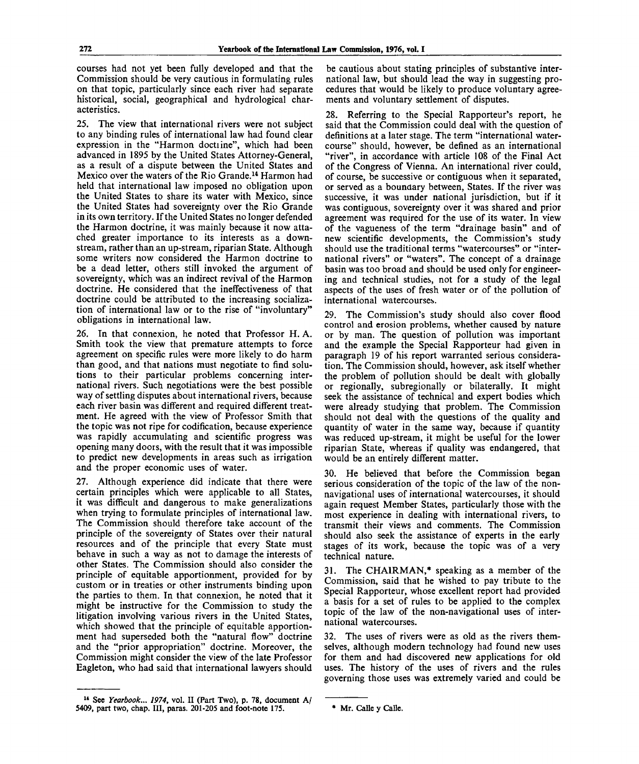courses had not yet been fully developed and that the Commission should be very cautious in formulating rules on that topic, particularly since each river had separate historical, social, geographical and hydrological characteristics.

25. The view that international rivers were not subject to any binding rules of international law had found clear expression in the "Harmon doctiine", which had been advanced in 1895 by the United States Attorney-General, as a result of a dispute between the United States and Mexico over the waters of the Rio Grande.<sup>14</sup> Harmon had held that international law imposed no obligation upon the United States to share its water with Mexico, since the United States had sovereignty over the Rio Grande in its own territory. If the United States no longer defended the Harmon doctrine, it was mainly because it now attached greater importance to its interests as a downstream, rather than an up-stream, riparian State. Although some writers now considered the Harmon doctrine to be a dead letter, others still invoked the argument of sovereignty, which was an indirect revival of the Harmon doctrine. He considered that the ineffectiveness of that doctrine could be attributed to the increasing socialization of international law or to the rise of "involuntary" obligations in international law.

26. In that connexion, he noted that Professor H. A. Smith took the view that premature attempts to force agreement on specific rules were more likely to do harm than good, and that nations must negotiate to find solutions to their particular problems concerning international rivers. Such negotiations were the best possible way of settling disputes about international rivers, because each river basin was different and required different treatment. He agreed with the view of Professor Smith that the topic was not ripe for codification, because experience was rapidly accumulating and scientific progress was opening many doors, with the result that it was impossible to predict new developments in areas such as irrigation and the proper economic uses of water.

27. Although experience did indicate that there were certain principles which were applicable to all States, it was difficult and dangerous to make generalizations when trying to formulate principles of international law. The Commission should therefore take account of the principle of the sovereignty of States over their natural resources and of the principle that every State must behave in such a way as not to damage the interests of other States. The Commission should also consider the principle of equitable apportionment, provided for by custom or in treaties or other instruments binding upon the parties to them. In that connexion, he noted that it might be instructive for the Commission to study the litigation involving various rivers in the United States, which showed that the principle of equitable apportionment had superseded both the "natural flow" doctrine and the "prior appropriation" doctrine. Moreover, the Commission might consider the view of the late Professor Eagleton, who had said that international lawyers should

be cautious about stating principles of substantive international law, but should lead the way in suggesting procedures that would be likely to produce voluntary agreements and voluntary settlement of disputes.

28. Referring to the Special Rapporteur's report, he said that the Commission could deal with the question of definitions at a later stage. The term "international watercourse" should, however, be defined as an international "river", in accordance with article 108 of the Final Act of the Congress of Vienna. An international river could, of course, be successive or contiguous when it separated, or served as a boundary between, States. If the river was successive, it was under national jurisdiction, but if it was contiguous, sovereignty over it was shared and prior agreement was required for the use of its water. In view of the vagueness of the term "drainage basin" and of new scientific developments, the Commission's study should use the traditional terms "watercourses" or "international rivers" or "waters". The concept of a drainage basin was too broad and should be used only for engineering and technical studies, not for a study of the legal aspects of the uses of fresh water or of the pollution of international watercourses.

29. The Commission's study should also cover flood control and erosion problems, whether caused by nature or by man. The question of pollution was important and the example the Special Rapporteur had given in paragraph 19 of his report warranted serious consideration. The Commission should, however, ask itself whether the problem of pollution should be dealt with globally or regionally, subregionally or bilaterally. It might seek the assistance of technical and expert bodies which were already studying that problem. The Commission should not deal with the questions of the quality and quantity of water in the same way, because if quantity was reduced up-stream, it might be useful for the lower riparian State, whereas if quality was endangered, that would be an entirely different matter.

30. He believed that before the Commission began serious consideration of the topic of the law of the nonnavigational uses of international watercourses, it should again request Member States, particularly those with the most experience in dealing with international rivers, to transmit their views and comments. The Commission should also seek the assistance of experts in the early stages of its work, because the topic was of a very technical nature.

31. The CHAIRMAN,\* speaking as a member of the Commission, said that he wished to pay tribute to the Special Rapporteur, whose excellent report had provided a basis for a set of rules to be applied to the complex topic of the law of the non-navigational uses of international watercourses.

32. The uses of rivers were as old as the rivers themselves, although modern technology had found new uses for them and had discovered new applications for old uses. The history of the uses of rivers and the rules governing those uses was extremely varied and could be

<sup>14</sup> See *Yearbook... 1974,* vol. II (Part Two), p. 78, document A/ 5409, part two, chap. III, paras.  $201-205$  and foot-note 175.  $\bullet$  Mr. Calle y Calle.